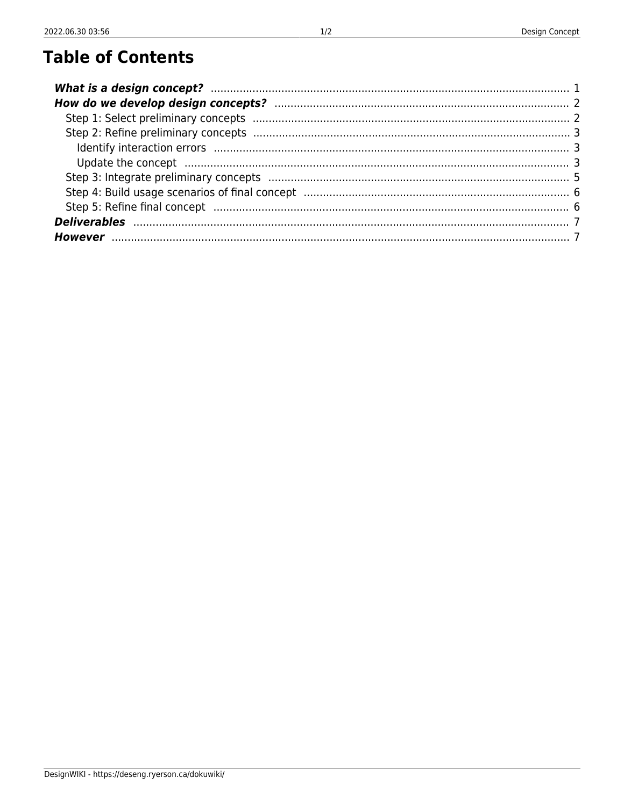| Update the concept manufactured and control manufactured and control of the concept manufactured and control of |  |
|-----------------------------------------------------------------------------------------------------------------|--|
|                                                                                                                 |  |
|                                                                                                                 |  |
|                                                                                                                 |  |
| Deliverables www.communication.com/www.com/www.com/www.com/www.com/www.com/www.                                 |  |
|                                                                                                                 |  |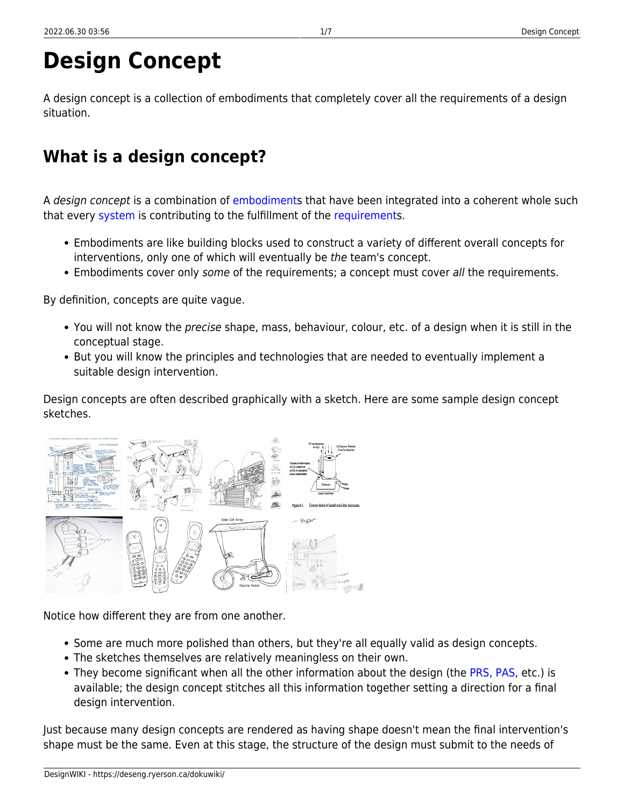# **Design Concept**

A design concept is a collection of embodiments that completely cover all the requirements of a design situation.

## <span id="page-2-0"></span>**What is a design concept?**

A design concept is a combination of [embodiments](https://deseng.ryerson.ca/dokuwiki/design:embodiment) that have been integrated into a coherent whole such that every [system](https://deseng.ryerson.ca/dokuwiki/design:system) is contributing to the fulfillment of the [requirements](https://deseng.ryerson.ca/dokuwiki/design:requirement).

- Embodiments are like building blocks used to construct a variety of different overall concepts for interventions, only one of which will eventually be the team's concept.
- Embodiments cover only some of the requirements; a concept must cover all the requirements.

By definition, concepts are quite vague.

- You will not know the precise shape, mass, behaviour, colour, etc. of a design when it is still in the conceptual stage.
- But you will know the principles and technologies that are needed to eventually implement a suitable design intervention.

Design concepts are often described graphically with a sketch. Here are some sample design concept sketches.

Notice how different they are from one another.

- Some are much more polished than others, but they're all equally valid as design concepts.
- The sketches themselves are relatively meaningless on their own.
- They become significant when all the other information about the design (the [PRS](https://deseng.ryerson.ca/dokuwiki/design:prs), [PAS,](https://deseng.ryerson.ca/dokuwiki/design:pas) etc.) is available; the design concept stitches all this information together setting a direction for a final design intervention.

Just because many design concepts are rendered as having shape doesn't mean the final intervention's shape must be the same. Even at this stage, the structure of the design must submit to the needs of

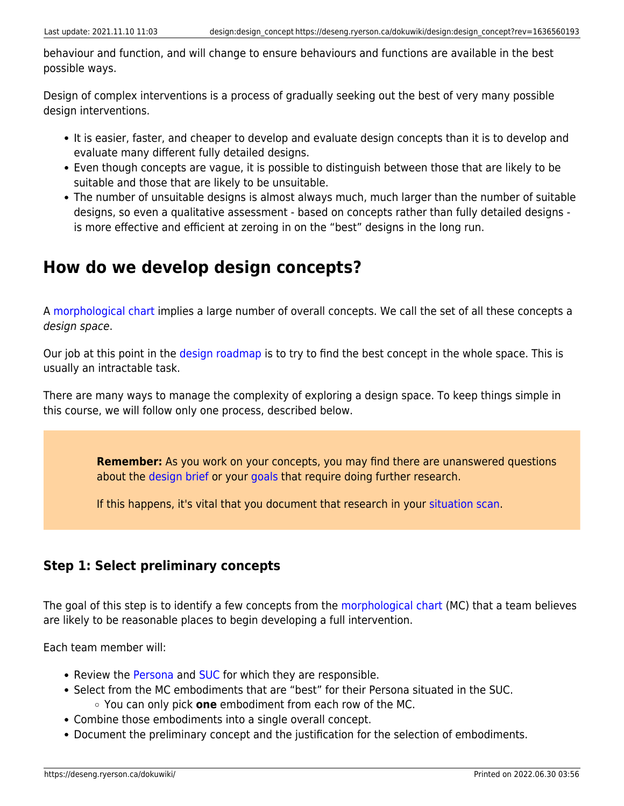behaviour and function, and will change to ensure behaviours and functions are available in the best possible ways.

Design of complex interventions is a process of gradually seeking out the best of very many possible design interventions.

- It is easier, faster, and cheaper to develop and evaluate design concepts than it is to develop and evaluate many different fully detailed designs.
- Even though concepts are vague, it is possible to distinguish between those that are likely to be suitable and those that are likely to be unsuitable.
- The number of unsuitable designs is almost always much, much larger than the number of suitable designs, so even a qualitative assessment - based on concepts rather than fully detailed designs is more effective and efficient at zeroing in on the "best" designs in the long run.

## <span id="page-3-0"></span>**How do we develop design concepts?**

A [morphological chart](https://deseng.ryerson.ca/dokuwiki/design:morphological_chart) implies a large number of overall concepts. We call the set of all these concepts a design space.

Our job at this point in the [design roadmap](https://deseng.ryerson.ca/dokuwiki/design:design_roadmap) is to try to find the best concept in the whole space. This is usually an intractable task.

There are many ways to manage the complexity of exploring a design space. To keep things simple in this course, we will follow only one process, described below.

> **Remember:** As you work on your concepts, you may find there are unanswered questions about the [design brief](https://deseng.ryerson.ca/dokuwiki/design:design_brief) or your [goals](https://deseng.ryerson.ca/dokuwiki/design:situation_scan#goals) that require doing further research.

If this happens, it's vital that you document that research in your [situation scan.](https://deseng.ryerson.ca/dokuwiki/design:situation_scan)

## <span id="page-3-3"></span><span id="page-3-1"></span>**Step 1: Select preliminary concepts**

The goal of this step is to identify a few concepts from the [morphological chart](https://deseng.ryerson.ca/dokuwiki/design:morphological_chart) (MC) that a team believes are likely to be reasonable places to begin developing a full intervention.

Each team member will:

- Review the [Persona](https://deseng.ryerson.ca/dokuwiki/design:persona) and [SUC](https://deseng.ryerson.ca/dokuwiki/design:suc) for which they are responsible.
- Select from the MC embodiments that are "best" for their Persona situated in the SUC. You can only pick **one** embodiment from each row of the MC.
- Combine those embodiments into a single overall concept.
- <span id="page-3-2"></span>Document the preliminary concept and the justification for the selection of embodiments.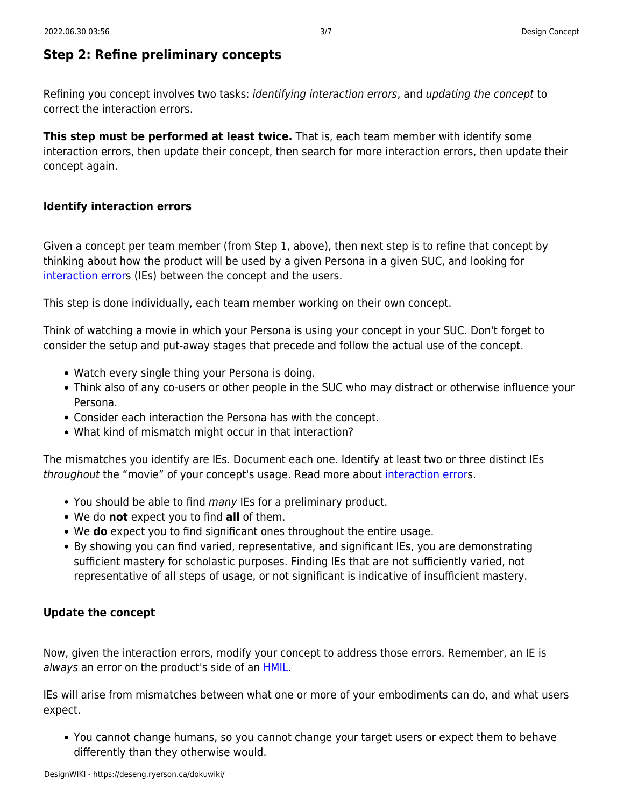## <span id="page-4-0"></span>**Step 2: Refine preliminary concepts**

Refining you concept involves two tasks: identifying interaction errors, and updating the concept to correct the interaction errors.

**This step must be performed at least twice.** That is, each team member with identify some interaction errors, then update their concept, then search for more interaction errors, then update their concept again.

#### <span id="page-4-1"></span>**Identify interaction errors**

Given a concept per team member (from Step 1, above), then next step is to refine that concept by thinking about how the product will be used by a given Persona in a given SUC, and looking for [interaction errors](https://deseng.ryerson.ca/dokuwiki/design:interaction_error) (IEs) between the concept and the users.

This step is done individually, each team member working on their own concept.

Think of watching a movie in which your Persona is using your concept in your SUC. Don't forget to consider the setup and put-away stages that precede and follow the actual use of the concept.

- Watch every single thing your Persona is doing.
- Think also of any co-users or other people in the SUC who may distract or otherwise influence your Persona.
- Consider each interaction the Persona has with the concept.
- What kind of mismatch might occur in that interaction?

The mismatches you identify are IEs. Document each one. Identify at least two or three distinct IEs throughout the "movie" of your concept's usage. Read more about [interaction error](https://deseng.ryerson.ca/dokuwiki/design:interaction_error)s.

- You should be able to find many IEs for a preliminary product.
- We do **not** expect you to find **all** of them.
- We **do** expect you to find significant ones throughout the entire usage.
- By showing you can find varied, representative, and significant IEs, you are demonstrating sufficient mastery for scholastic purposes. Finding IEs that are not sufficiently varied, not representative of all steps of usage, or not significant is indicative of insufficient mastery.

#### <span id="page-4-2"></span>**Update the concept**

Now, given the interaction errors, modify your concept to address those errors. Remember, an IE is always an error on the product's side of an [HMIL.](https://deseng.ryerson.ca/dokuwiki/design:hmil)

IEs will arise from mismatches between what one or more of your embodiments can do, and what users expect.

You cannot change humans, so you cannot change your target users or expect them to behave differently than they otherwise would.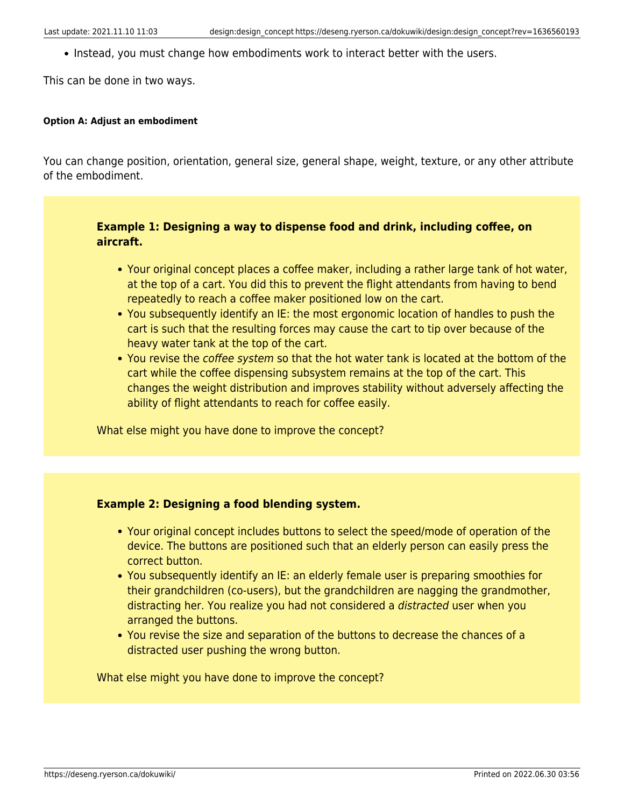• Instead, you must change how embodiments work to interact better with the users.

This can be done in two ways.

#### **Option A: Adjust an embodiment**

You can change position, orientation, general size, general shape, weight, texture, or any other attribute of the embodiment.

#### **Example 1: Designing a way to dispense food and drink, including coffee, on aircraft.**

- Your original concept places a coffee maker, including a rather large tank of hot water, at the top of a cart. You did this to prevent the flight attendants from having to bend repeatedly to reach a coffee maker positioned low on the cart.
- You subsequently identify an IE: the most ergonomic location of handles to push the cart is such that the resulting forces may cause the cart to tip over because of the heavy water tank at the top of the cart.
- You revise the coffee system so that the hot water tank is located at the bottom of the cart while the coffee dispensing subsystem remains at the top of the cart. This changes the weight distribution and improves stability without adversely affecting the ability of flight attendants to reach for coffee easily.

What else might you have done to improve the concept?

#### **Example 2: Designing a food blending system.**

- Your original concept includes buttons to select the speed/mode of operation of the device. The buttons are positioned such that an elderly person can easily press the correct button.
- You subsequently identify an IE: an elderly female user is preparing smoothies for their grandchildren (co-users), but the grandchildren are nagging the grandmother, distracting her. You realize you had not considered a distracted user when you arranged the buttons.
- You revise the size and separation of the buttons to decrease the chances of a distracted user pushing the wrong button.

What else might you have done to improve the concept?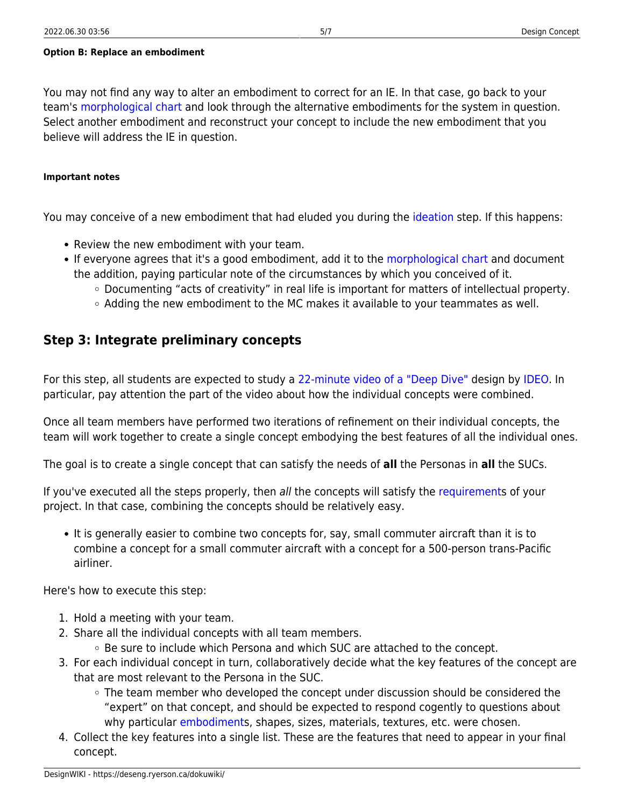#### **Option B: Replace an embodiment**

You may not find any way to alter an embodiment to correct for an IE. In that case, go back to your team's [morphological chart](https://deseng.ryerson.ca/dokuwiki/design:morphological_chart) and look through the alternative embodiments for the system in question. Select another embodiment and reconstruct your concept to include the new embodiment that you believe will address the IE in question.

#### **Important notes**

You may conceive of a new embodiment that had eluded you during the [ideation](https://deseng.ryerson.ca/dokuwiki/design:ideation) step. If this happens:

- Review the new embodiment with your team.
- If everyone agrees that it's a good embodiment, add it to the [morphological chart](https://deseng.ryerson.ca/dokuwiki/design:morphological_chart) and document the addition, paying particular note of the circumstances by which you conceived of it.
	- Documenting "acts of creativity" in real life is important for matters of intellectual property.
	- $\circ$  Adding the new embodiment to the MC makes it available to your teammates as well.

### <span id="page-6-1"></span><span id="page-6-0"></span>**Step 3: Integrate preliminary concepts**

For this step, all students are expected to study a [22-minute video of a "Deep Dive"](https://www.youtube.com/watch?v=izjhx17NuSE) design by [IDEO.](https://www.ideo.com/) In particular, pay attention the part of the video about how the individual concepts were combined.

Once all team members have performed two iterations of refinement on their individual concepts, the team will work together to create a single concept embodying the best features of all the individual ones.

The goal is to create a single concept that can satisfy the needs of **all** the Personas in **all** the SUCs.

If you've executed all the steps properly, then all the concepts will satisfy the [requirement](https://deseng.ryerson.ca/dokuwiki/design:requirement)s of your project. In that case, combining the concepts should be relatively easy.

It is generally easier to combine two concepts for, say, small commuter aircraft than it is to combine a concept for a small commuter aircraft with a concept for a 500-person trans-Pacific airliner.

Here's how to execute this step:

- 1. Hold a meeting with your team.
- 2. Share all the individual concepts with all team members.  $\circ$  Be sure to include which Persona and which SUC are attached to the concept.
- 3. For each individual concept in turn, collaboratively decide what the key features of the concept are that are most relevant to the Persona in the SUC.
	- $\circ$  The team member who developed the concept under discussion should be considered the "expert" on that concept, and should be expected to respond cogently to questions about why particular [embodiments](https://deseng.ryerson.ca/dokuwiki/design:embodiment), shapes, sizes, materials, textures, etc. were chosen.
- 4. Collect the key features into a single list. These are the features that need to appear in your final concept.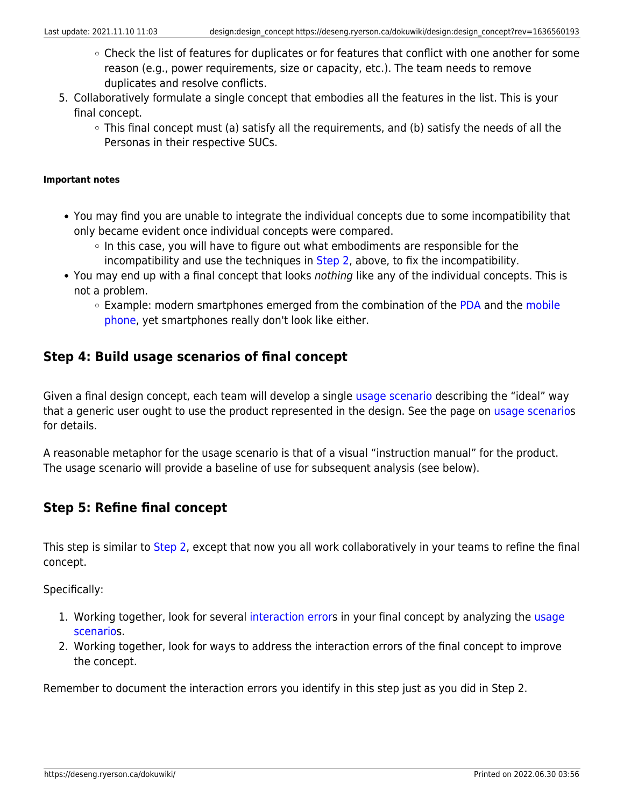- Check the list of features for duplicates or for features that conflict with one another for some reason (e.g., power requirements, size or capacity, etc.). The team needs to remove duplicates and resolve conflicts.
- 5. Collaboratively formulate a single concept that embodies all the features in the list. This is your final concept.
	- This final concept must (a) satisfy all the requirements, and (b) satisfy the needs of all the Personas in their respective SUCs.

#### **Important notes**

- You may find you are unable to integrate the individual concepts due to some incompatibility that only became evident once individual concepts were compared.
	- $\circ$  In this case, you will have to figure out what embodiments are responsible for the incompatibility and use the techniques in [Step 2,](#page-3-2) above, to fix the incompatibility.
- You may end up with a final concept that looks nothing like any of the individual concepts. This is not a problem.
	- $\circ$  Example: modern smartphones emerged from the combination of the [PDA](https://en.wikipedia.org/wiki/Personal_digital_assistant) and the [mobile](https://en.wikipedia.org/wiki/Mobile_phone) [phone](https://en.wikipedia.org/wiki/Mobile_phone), yet smartphones really don't look like either.

### <span id="page-7-2"></span><span id="page-7-0"></span>**Step 4: Build usage scenarios of final concept**

Given a final design concept, each team will develop a single [usage scenario](https://deseng.ryerson.ca/dokuwiki/design:usage_scenario) describing the "ideal" way that a generic user ought to use the product represented in the design. See the page on [usage scenarios](https://deseng.ryerson.ca/dokuwiki/design:usage_scenario) for details.

A reasonable metaphor for the usage scenario is that of a visual "instruction manual" for the product. The usage scenario will provide a baseline of use for subsequent analysis (see below).

### <span id="page-7-3"></span><span id="page-7-1"></span>**Step 5: Refine final concept**

This step is similar to [Step 2,](#page-3-2) except that now you all work collaboratively in your teams to refine the final concept.

Specifically:

- 1. Working together, look for several [interaction error](https://deseng.ryerson.ca/dokuwiki/design:interaction_error)s in your final concept by analyzing the [usage](https://deseng.ryerson.ca/dokuwiki/design:usage_scenario) [scenario](https://deseng.ryerson.ca/dokuwiki/design:usage_scenario)s.
- 2. Working together, look for ways to address the interaction errors of the final concept to improve the concept.

Remember to document the interaction errors you identify in this step just as you did in Step 2.